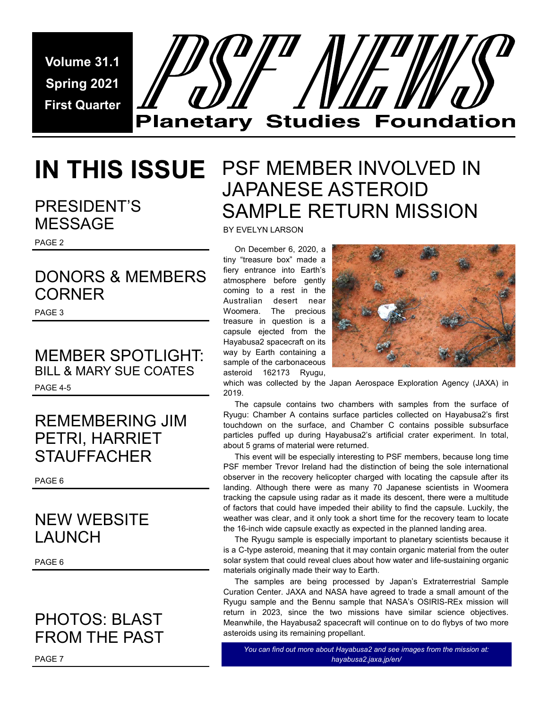**Volume 31.1 Spring 2021 First Quarter** 



### PRESIDENT'S MESSAGE

PAGE 2

## DONORS & MEMBERS **CORNER**

PAGE 3

### MEMBER SPOTLIGHT: BILL & MARY SUE COATES PAGE 4-5

## REMEMBERING JIM PETRI, HARRIET **STAUFFACHER**

PAGE 6

## NEW WEBSITE LAUNCH

PAGE 6

## PHOTOS: BLAST FROM THE PAST

## **IN THIS ISSUE**  PSF MEMBER INVOLVED IN JAPANESE ASTEROID SAMPLE RETURN MISSION

BY EVELYN LARSON

 On December 6, 2020, a tiny "treasure box" made a fiery entrance into Earth's atmosphere before gently coming to a rest in the Australian desert near Woomera. The precious treasure in question is a capsule ejected from the Hayabusa2 spacecraft on its way by Earth containing a sample of the carbonaceous asteroid 162173 Ryugu,



which was collected by the Japan Aerospace Exploration Agency (JAXA) in 2019.

 The capsule contains two chambers with samples from the surface of Ryugu: Chamber A contains surface particles collected on Hayabusa2's first touchdown on the surface, and Chamber C contains possible subsurface particles puffed up during Hayabusa2's artificial crater experiment. In total, about 5 grams of material were returned.

 This event will be especially interesting to PSF members, because long time PSF member Trevor Ireland had the distinction of being the sole international observer in the recovery helicopter charged with locating the capsule after its landing. Although there were as many 70 Japanese scientists in Woomera tracking the capsule using radar as it made its descent, there were a multitude of factors that could have impeded their ability to find the capsule. Luckily, the weather was clear, and it only took a short time for the recovery team to locate the 16-inch wide capsule exactly as expected in the planned landing area.

 The Ryugu sample is especially important to planetary scientists because it is a C-type asteroid, meaning that it may contain organic material from the outer solar system that could reveal clues about how water and life-sustaining organic materials originally made their way to Earth.

 The samples are being processed by Japan's Extraterrestrial Sample Curation Center. JAXA and NASA have agreed to trade a small amount of the Ryugu sample and the Bennu sample that NASA's OSIRIS-REx mission will return in 2023, since the two missions have similar science objectives. Meanwhile, the Hayabusa2 spacecraft will continue on to do flybys of two more asteroids using its remaining propellant.

*You can find out more about Hayabusa2 and see images from the mission at: hayabusa2.jaxa.jp/en/*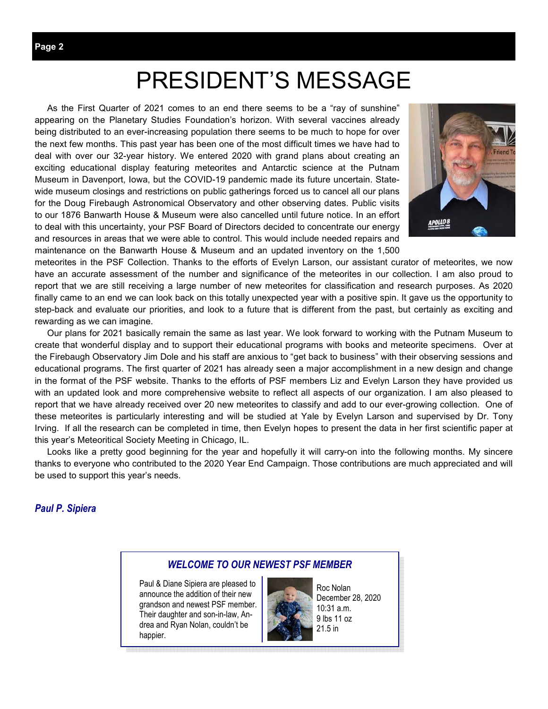# PRESIDENT'S MESSAGE

 As the First Quarter of 2021 comes to an end there seems to be a "ray of sunshine" appearing on the Planetary Studies Foundation's horizon. With several vaccines already being distributed to an ever-increasing population there seems to be much to hope for over the next few months. This past year has been one of the most difficult times we have had to deal with over our 32-year history. We entered 2020 with grand plans about creating an exciting educational display featuring meteorites and Antarctic science at the Putnam Museum in Davenport, Iowa, but the COVID-19 pandemic made its future uncertain. Statewide museum closings and restrictions on public gatherings forced us to cancel all our plans for the Doug Firebaugh Astronomical Observatory and other observing dates. Public visits to our 1876 Banwarth House & Museum were also cancelled until future notice. In an effort to deal with this uncertainty, your PSF Board of Directors decided to concentrate our energy and resources in areas that we were able to control. This would include needed repairs and maintenance on the Banwarth House & Museum and an updated inventory on the 1,500



meteorites in the PSF Collection. Thanks to the efforts of Evelyn Larson, our assistant curator of meteorites, we now have an accurate assessment of the number and significance of the meteorites in our collection. I am also proud to report that we are still receiving a large number of new meteorites for classification and research purposes. As 2020 finally came to an end we can look back on this totally unexpected year with a positive spin. It gave us the opportunity to step-back and evaluate our priorities, and look to a future that is different from the past, but certainly as exciting and rewarding as we can imagine.

 Our plans for 2021 basically remain the same as last year. We look forward to working with the Putnam Museum to create that wonderful display and to support their educational programs with books and meteorite specimens. Over at the Firebaugh Observatory Jim Dole and his staff are anxious to "get back to business" with their observing sessions and educational programs. The first quarter of 2021 has already seen a major accomplishment in a new design and change in the format of the PSF website. Thanks to the efforts of PSF members Liz and Evelyn Larson they have provided us with an updated look and more comprehensive website to reflect all aspects of our organization. I am also pleased to report that we have already received over 20 new meteorites to classify and add to our ever-growing collection. One of these meteorites is particularly interesting and will be studied at Yale by Evelyn Larson and supervised by Dr. Tony Irving. If all the research can be completed in time, then Evelyn hopes to present the data in her first scientific paper at this year's Meteoritical Society Meeting in Chicago, IL.

 Looks like a pretty good beginning for the year and hopefully it will carry-on into the following months. My sincere thanks to everyone who contributed to the 2020 Year End Campaign. Those contributions are much appreciated and will be used to support this year's needs.

#### *Paul P. Sipiera*

#### *WELCOME TO OUR NEWEST PSF MEMBER*

Paul & Diane Sipiera are pleased to announce the addition of their new grandson and newest PSF member. Their daughter and son-in-law, Andrea and Ryan Nolan, couldn't be happier.



Roc Nolan December 28, 2020 10:31 a.m. 9 lbs 11 oz 21.5 in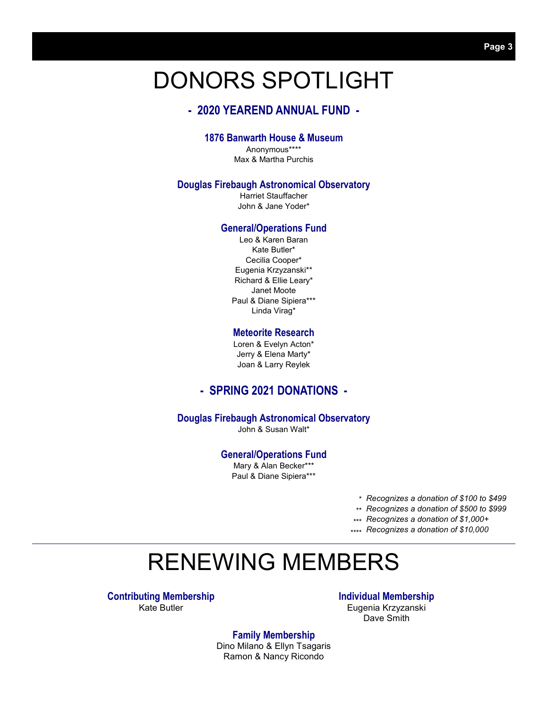# DONORS SPOTLIGHT

#### **- 2020 YEAREND ANNUAL FUND -**

#### **1876 Banwarth House & Museum**

Anonymous\*\*\*\* Max & Martha Purchis

#### **Douglas Firebaugh Astronomical Observatory**

Harriet Stauffacher John & Jane Yoder\*

#### **General/Operations Fund**

Leo & Karen Baran Kate Butler\* Cecilia Cooper\* Eugenia Krzyzanski\*\* Richard & Ellie Leary\* Janet Moote Paul & Diane Sipiera\*\*\* Linda Virag\*

#### **Meteorite Research**

Loren & Evelyn Acton\* Jerry & Elena Marty\* Joan & Larry Reylek

#### **- SPRING 2021 DONATIONS -**

#### **Douglas Firebaugh Astronomical Observatory**

John & Susan Walt\*

#### **General/Operations Fund**

Mary & Alan Becker\*\*\* Paul & Diane Sipiera\*\*\*

*Recognizes a donation of \$100 to \$499 \** 

*Recognizes a donation of \$500 to \$999 \*\** 

*Recognizes a donation of \$1,000+ \*\*\** 

*Recognizes a donation of \$10,000 \*\*\*\** 

# RENEWING MEMBERS

**Contributing Membership** Kate Butler

#### **Individual Membership**

Eugenia Krzyzanski Dave Smith

**Family Membership**  Dino Milano & Ellyn Tsagaris Ramon & Nancy Ricondo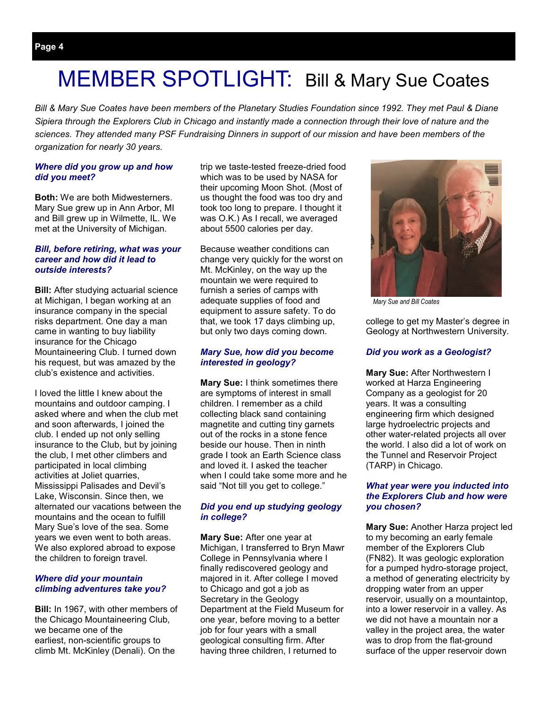# MEMBER SPOTLIGHT: Bill & Mary Sue Coates

*Bill & Mary Sue Coates have been members of the Planetary Studies Foundation since 1992. They met Paul & Diane Sipiera through the Explorers Club in Chicago and instantly made a connection through their love of nature and the sciences. They attended many PSF Fundraising Dinners in support of our mission and have been members of the organization for nearly 30 years.* 

#### *Where did you grow up and how did you meet?*

**Both:** We are both Midwesterners. Mary Sue grew up in Ann Arbor, MI and Bill grew up in Wilmette, IL. We met at the University of Michigan.

#### *Bill, before retiring, what was your career and how did it lead to outside interests?*

**Bill:** After studying actuarial science at Michigan, I began working at an insurance company in the special risks department. One day a man came in wanting to buy liability insurance for the Chicago Mountaineering Club. I turned down his request, but was amazed by the club's existence and activities.

I loved the little I knew about the mountains and outdoor camping. I asked where and when the club met and soon afterwards, I joined the club. I ended up not only selling insurance to the Club, but by joining the club, I met other climbers and participated in local climbing activities at Joliet quarries, Mississippi Palisades and Devil's Lake, Wisconsin. Since then, we alternated our vacations between the mountains and the ocean to fulfill Mary Sue's love of the sea. Some years we even went to both areas. We also explored abroad to expose the children to foreign travel.

#### *Where did your mountain climbing adventures take you?*

**Bill:** In 1967, with other members of the Chicago Mountaineering Club, we became one of the earliest, non-scientific groups to climb Mt. McKinley (Denali). On the

trip we taste-tested freeze-dried food which was to be used by NASA for their upcoming Moon Shot. (Most of us thought the food was too dry and took too long to prepare. I thought it was O.K.) As I recall, we averaged about 5500 calories per day.

Because weather conditions can change very quickly for the worst on Mt. McKinley, on the way up the mountain we were required to furnish a series of camps with adequate supplies of food and equipment to assure safety. To do that, we took 17 days climbing up, but only two days coming down.

#### *Mary Sue, how did you become interested in geology?*

**Mary Sue: I think sometimes there** are symptoms of interest in small children. I remember as a child collecting black sand containing magnetite and cutting tiny garnets out of the rocks in a stone fence beside our house. Then in ninth grade I took an Earth Science class and loved it. I asked the teacher when I could take some more and he said "Not till you get to college."

#### *Did you end up studying geology in college?*

**Mary Sue:** After one year at Michigan, I transferred to Bryn Mawr College in Pennsylvania where I finally rediscovered geology and majored in it. After college I moved to Chicago and got a job as Secretary in the Geology Department at the Field Museum for one year, before moving to a better job for four years with a small geological consulting firm. After having three children, I returned to



*Mary Sue and Bill Coates* 

college to get my Master's degree in Geology at Northwestern University.

#### *Did you work as a Geologist?*

**Mary Sue:** After Northwestern I worked at Harza Engineering Company as a geologist for 20 years. It was a consulting engineering firm which designed large hydroelectric projects and other water-related projects all over the world. I also did a lot of work on the Tunnel and Reservoir Project (TARP) in Chicago.

#### *What year were you inducted into the Explorers Club and how were you chosen?*

**Mary Sue:** Another Harza project led to my becoming an early female member of the Explorers Club (FN82). It was geologic exploration for a pumped hydro-storage project, a method of generating electricity by dropping water from an upper reservoir, usually on a mountaintop, into a lower reservoir in a valley. As we did not have a mountain nor a valley in the project area, the water was to drop from the flat-ground surface of the upper reservoir down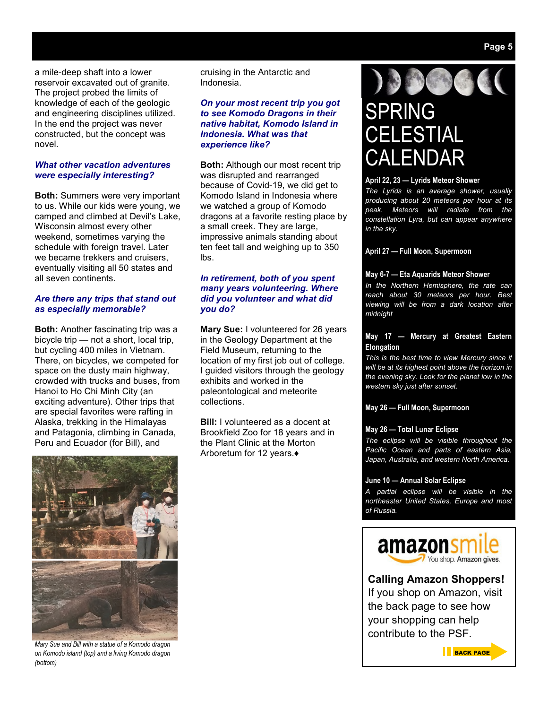a mile-deep shaft into a lower reservoir excavated out of granite. The project probed the limits of knowledge of each of the geologic and engineering disciplines utilized. In the end the project was never constructed, but the concept was novel.

#### *What other vacation adventures were especially interesting?*

**Both:** Summers were very important to us. While our kids were young, we camped and climbed at Devil's Lake, Wisconsin almost every other weekend, sometimes varying the schedule with foreign travel. Later we became trekkers and cruisers, eventually visiting all 50 states and all seven continents.

#### *Are there any trips that stand out as especially memorable?*

**Both:** Another fascinating trip was a bicycle trip — not a short, local trip, but cycling 400 miles in Vietnam. There, on bicycles, we competed for space on the dusty main highway, crowded with trucks and buses, from Hanoi to Ho Chi Minh City (an exciting adventure). Other trips that are special favorites were rafting in Alaska, trekking in the Himalayas and Patagonia, climbing in Canada, Peru and Ecuador (for Bill), and



*Mary Sue and Bill with a statue of a Komodo dragon on Komodo island (top) and a living Komodo dragon (bottom)* 

cruising in the Antarctic and Indonesia.

#### *On your most recent trip you got to see Komodo Dragons in their native habitat, Komodo Island in Indonesia. What was that experience like?*

**Both:** Although our most recent trip was disrupted and rearranged because of Covid-19, we did get to Komodo Island in Indonesia where we watched a group of Komodo dragons at a favorite resting place by a small creek. They are large, impressive animals standing about ten feet tall and weighing up to 350 lbs.

#### *In retirement, both of you spent many years volunteering. Where did you volunteer and what did you do?*

**Mary Sue:** I volunteered for 26 years in the Geology Department at the Field Museum, returning to the location of my first job out of college. I guided visitors through the geology exhibits and worked in the paleontological and meteorite collections.

**Bill:** I volunteered as a docent at Brookfield Zoo for 18 years and in the Plant Clinic at the Morton Arboretum for 12 years.♦



# SPRING **CELESTIAL ALENDAR**

#### **April 22, 23 — Lyrids Meteor Shower**

*The Lyrids is an average shower, usually producing about 20 meteors per hour at its peak. Meteors will radiate from the constellation Lyra, but can appear anywhere in the sky.* 

#### **April 27 — Full Moon, Supermoon**

#### **May 6-7 — Eta Aquarids Meteor Shower**

*In the Northern Hemisphere, the rate can reach about 30 meteors per hour. Best viewing will be from a dark location after midnight* 

#### **May 17 — Mercury at Greatest Eastern Elongation**

*This is the best time to view Mercury since it will be at its highest point above the horizon in the evening sky. Look for the planet low in the western sky just after sunset.* 

#### **May 26 — Full Moon, Supermoon**

#### **May 26 — Total Lunar Eclipse**

*The eclipse will be visible throughout the Pacific Ocean and parts of eastern Asia, Japan, Australia, and western North America.* 

#### **June 10 — Annual Solar Eclipse**

*A partial eclipse will be visible in the northeaster United States, Europe and most of Russia.* 



**Calling Amazon Shoppers!** 

If you shop on Amazon, visit the back page to see how your shopping can help contribute to the PSF.

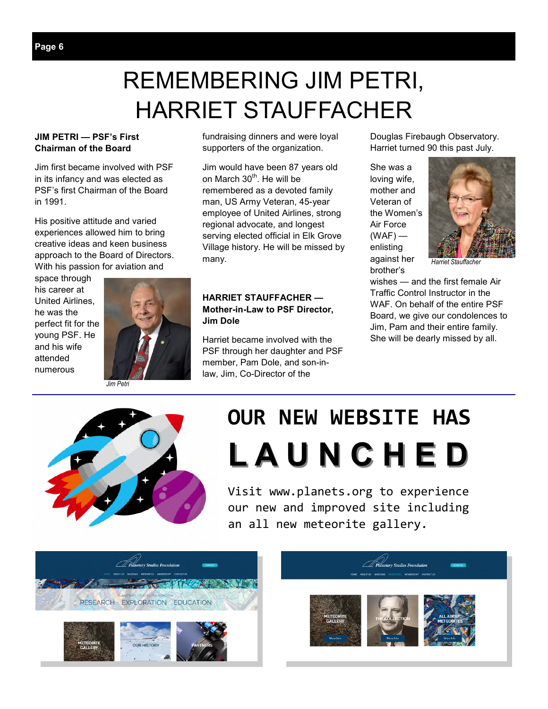# REMEMBERING JIM PETRI, HARRIET STAUFFACHER

#### **JIM PETRI — PSF's First Chairman of the Board**

Jim first became involved with PSF in its infancy and was elected as PSF's first Chairman of the Board in 1991.

His positive attitude and varied experiences allowed him to bring creative ideas and keen business approach to the Board of Directors. With his passion for aviation and

space through his career at United Airlines, he was the perfect fit for the young PSF. He and his wife attended numerous



*Jim Petri* 

fundraising dinners and were loyal supporters of the organization.

Jim would have been 87 years old on March 30<sup>th</sup>. He will be remembered as a devoted family man, US Army Veteran, 45-year employee of United Airlines, strong regional advocate, and longest serving elected official in Elk Grove Village history. He will be missed by many.

#### **HARRIET STAUFFACHER — Mother-in-Law to PSF Director, Jim Dole**

Harriet became involved with the PSF through her daughter and PSF member, Pam Dole, and son-inlaw, Jim, Co-Director of the

Douglas Firebaugh Observatory. Harriet turned 90 this past July.

She was a loving wife, mother and Veteran of the Women's Air Force  $(WAF)$  enlisting against her brother's



*Harriet Stauffacher* 

wishes — and the first female Air Traffic Control Instructor in the WAF. On behalf of the entire PSF Board, we give our condolences to Jim, Pam and their entire family. She will be dearly missed by all.



# **OUR NEW WEBSITE HAS L A U N C H E D**

Visit www.planets.org to experience our new and improved site including an all new meteorite gallery.



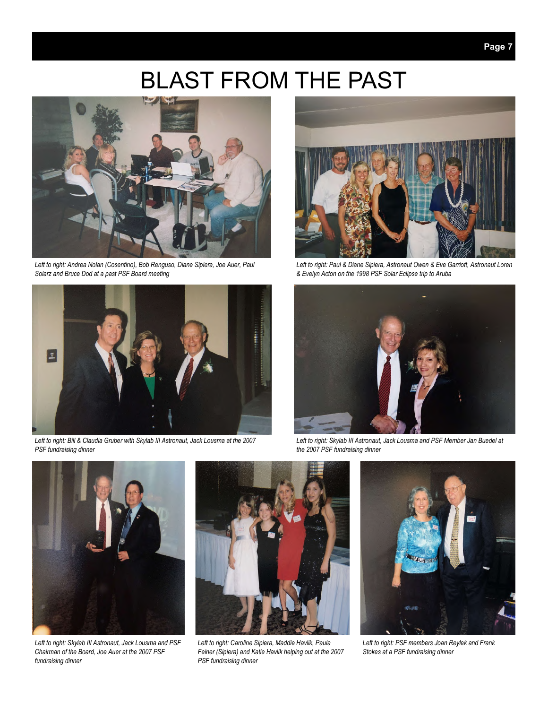# BLAST FROM THE PAST



*Left to right: Andrea Nolan (Cosentino), Bob Renguso, Diane Sipiera, Joe Auer, Paul Solarz and Bruce Dod at a past PSF Board meeting* 



*Left to right: Bill & Claudia Gruber with Skylab III Astronaut, Jack Lousma at the 2007 PSF fundraising dinner* 



*Left to right: Paul & Diane Sipiera, Astronaut Owen & Eve Garriott, Astronaut Loren & Evelyn Acton on the 1998 PSF Solar Eclipse trip to Aruba* 



*Left to right: Skylab III Astronaut, Jack Lousma and PSF Member Jan Buedel at the 2007 PSF fundraising dinner* 



*Left to right: Skylab III Astronaut, Jack Lousma and PSF Chairman of the Board, Joe Auer at the 2007 PSF fundraising dinner* 



*Left to right: Caroline Sipiera, Maddie Havlik, Paula Feiner (Sipiera) and Katie Havlik helping out at the 2007 PSF fundraising dinner* 



*Left to right: PSF members Joan Reylek and Frank Stokes at a PSF fundraising dinner*